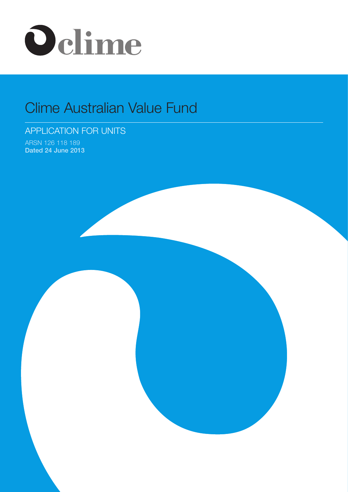

# Clime Australian Value Fund

# APPLICATION FOR UNITS

ARSN 126 118 189 Dated 24 June 2013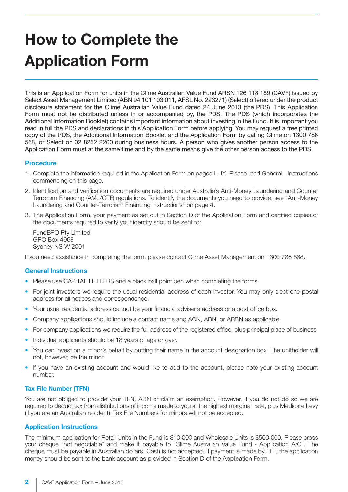# **How to Complete the Application Form**

This is an Application Form for units in the Clime Australian Value Fund ARSN 126 118 189 (CAVF) issued by Select Asset Management Limited (ABN 94 101 103 011, AFSL No. 223271) (Select) offered under the product disclosure statement for the Clime Australian Value Fund dated 24 June 2013 (the PDS). This Application Form must not be distributed unless in or accompanied by, the PDS. The PDS (which incorporates the Additional Information Booklet) contains important information about investing in the Fund. It is important you read in full the PDS and declarations in this Application Form before applying. You may request a free printed copy of the PDS, the Additional Information Booklet and the Application Form by calling Clime on 1300 788 568, or Select on 02 8252 2200 during business hours. A person who gives another person access to the Application Form must at the same time and by the same means give the other person access to the PDS.

# **Procedure**

- 1. Complete the information required in the Application Form on pages I IX. Please read General Instructions commencing on this page.
- 2. Identification and verification documents are required under Australia's Anti-Money Laundering and Counter Terrorism Financing (AML/CTF) regulations. To identify the documents you need to provide, see "Anti-Money Laundering and Counter-Terrorism Financing Instructions" on page 4.
- 3. The Application Form, your payment as set out in Section D of the Application Form and certified copies of the documents required to verify your identity should be sent to:

 FundBPO Pty Limited GPO Box 4968 Sydney NS W 2001

If you need assistance in completing the form, please contact Clime Asset Management on 1300 788 568.

## **General Instructions**

- Please use CAPITAL LETTERS and a black ball point pen when completing the forms.
- For joint investors we require the usual residential address of each investor. You may only elect one postal address for all notices and correspondence.
- Your usual residential address cannot be your financial adviser's address or a post office box.
- Company applications should include a contact name and ACN, ABN, or ARBN as applicable.
- For company applications we require the full address of the registered office, plus principal place of business.
- Individual applicants should be 18 years of age or over.
- You can invest on a minor's behalf by putting their name in the account designation box. The unitholder will not, however, be the minor.
- If you have an existing account and would like to add to the account, please note your existing account number.

## **Tax File Number (TFN)**

You are not obliged to provide your TFN, ABN or claim an exemption. However, if you do not do so we are required to deduct tax from distributions of income made to you at the highest marginal rate, plus Medicare Levy (if you are an Australian resident). Tax File Numbers for minors will not be accepted.

## **Application Instructions**

The minimum application for Retail Units in the Fund is \$10,000 and Wholesale Units is \$500,000. Please cross your cheque "not negotiable" and make it payable to "Clime Australian Value Fund - Application A/C". The cheque must be payable in Australian dollars. Cash is not accepted. If payment is made by EFT, the application money should be sent to the bank account as provided in Section D of the Application Form.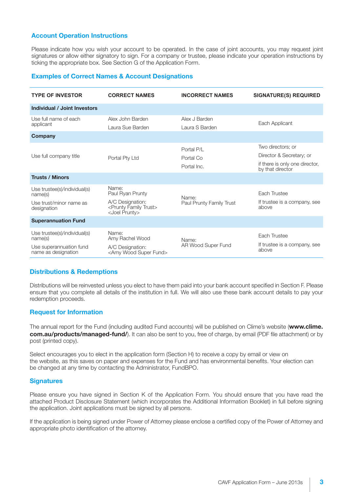# **Account Operation Instructions**

Please indicate how you wish your account to be operated. In the case of joint accounts, you may request joint signatures or allow either signatory to sign. For a company or trustee, please indicate your operation instructions by ticking the appropriate box. See Section G of the Application Form.

## **Examples of Correct Names & Account Designations**

| <b>TYPE OF INVESTOR</b>                                                                   | <b>CORRECT NAMES</b>                                                                                              | <b>INCORRECT NAMES</b>                 | <b>SIGNATURE(S) REQUIRED</b>                                                                        |
|-------------------------------------------------------------------------------------------|-------------------------------------------------------------------------------------------------------------------|----------------------------------------|-----------------------------------------------------------------------------------------------------|
| <b>Individual / Joint Investors</b>                                                       |                                                                                                                   |                                        |                                                                                                     |
| Use full name of each<br>applicant<br>Company                                             | Alex John Barden<br>Laura Sue Barden                                                                              | Alex J Barden<br>Laura S Barden        | Each Applicant                                                                                      |
| Use full company title                                                                    | Portal Pty Ltd                                                                                                    | Portal P/L<br>Portal Co<br>Portal Inc. | Two directors; or<br>Director & Secretary; or<br>if there is only one director,<br>by that director |
| <b>Trusts / Minors</b>                                                                    |                                                                                                                   |                                        |                                                                                                     |
| Use trustee(s)/individual(s)<br>name(s)<br>Use trust/minor name as<br>designation         | Name:<br>Paul Ryan Prunty<br>A/C Designation:<br><prunty family="" trust=""><br/><joel prunty=""></joel></prunty> | Name:<br>Paul Prunty Family Trust      | Each Trustee<br>If trustee is a company, see<br>above                                               |
| <b>Superannuation Fund</b>                                                                |                                                                                                                   |                                        |                                                                                                     |
| Use trustee(s)/individual(s)<br>name(s)<br>Use superannuation fund<br>name as designation | Name:<br>Amy Rachel Wood<br>A/C Designation:<br><amy fund="" super="" wood=""></amy>                              | Name:<br>AR Wood Super Fund            | Each Trustee<br>If trustee is a company, see<br>above                                               |

## **Distributions & Redemptions**

Distributions will be reinvested unless you elect to have them paid into your bank account specified in Section F. Please ensure that you complete all details of the institution in full. We will also use these bank account details to pay your redemption proceeds.

## **Request for Information**

The annual report for the Fund (including audited Fund accounts) will be published on Clime's website (**www.clime. com.au/products/managed-fund/**). It can also be sent to you, free of charge, by email (PDF file attachment) or by post (printed copy).

Select encourages you to elect in the application form (Section H) to receive a copy by email or view on the website, as this saves on paper and expenses for the Fund and has environmental benefits. Your election can be changed at any time by contacting the Administrator, FundBPO.

## **Signatures**

Please ensure you have signed in Section K of the Application Form. You should ensure that you have read the attached Product Disclosure Statement (which incorporates the Additional Information Booklet) in full before signing the application. Joint applications must be signed by all persons.

If the application is being signed under Power of Attorney please enclose a certified copy of the Power of Attorney and appropriate photo identification of the attorney.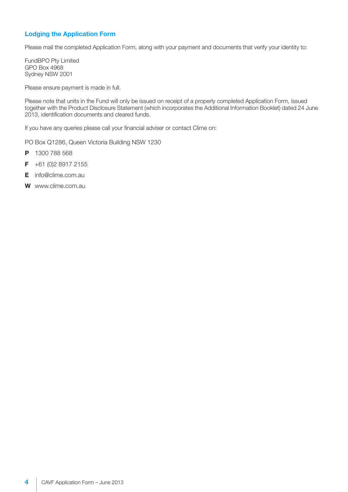# **Lodging the Application Form**

Please mail the completed Application Form, along with your payment and documents that verify your identity to:

FundBPO Pty Limited GPO Box 4968 Sydney NSW 2001

Please ensure payment is made in full.

Please note that units in the Fund will only be issued on receipt of a properly completed Application Form, issued together with the Product Disclosure Statement (which incorporates the Additional Information Booklet) dated 24 June 2013, identification documents and cleared funds.

If you have any queries please call your financial adviser or contact Clime on:

PO Box Q1286, Queen Victoria Building NSW 1230

- **P** 1300 788 568
- **F** +61 (0)2 8917 2155
- **E** info@clime.com.au
- **W** www.clime.com.au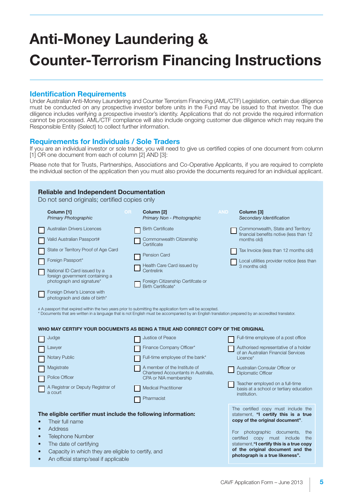# **Anti-Money Laundering & Counter-Terrorism Financing Instructions**

# **Identification Requirements**

Under Australian Anti-Money Laundering and Counter Terrorism Financing (AML/CTF) Legislation, certain due diligence must be conducted on any prospective investor before units in the Fund may be issued to that investor. The due diligence includes verifying a prospective investor's identity. Applications that do not provide the required information cannot be processed. AML/CTF compliance will also include ongoing customer due diligence which may require the Responsible Entity (Select) to collect further information.

# **Requirements for Individuals / Sole Traders**

If you are an individual investor or sole trader, you will need to give us certified copies of one document from column [1] OR one document from each of column [2] AND [3]:

Please note that for Trusts, Partnerships, Associations and Co-Operative Applicants, if you are required to complete the individual section of the application then you must also provide the documents required for an individual applicant.

| Column [1]<br><b>Primary Photographic</b>                                                                                                                                                                                                                                                       | Do not send originals; certified copies only<br><b>OR</b><br>Column [2]<br>Primary Non - Photographic                                                                                                                                                                                                                                                                                                                                                   | <b>AND</b><br>Column [3]<br>Secondary Identification                                                                                                                                                                                                                                                           |
|-------------------------------------------------------------------------------------------------------------------------------------------------------------------------------------------------------------------------------------------------------------------------------------------------|---------------------------------------------------------------------------------------------------------------------------------------------------------------------------------------------------------------------------------------------------------------------------------------------------------------------------------------------------------------------------------------------------------------------------------------------------------|----------------------------------------------------------------------------------------------------------------------------------------------------------------------------------------------------------------------------------------------------------------------------------------------------------------|
| <b>Australian Drivers Licences</b><br>Valid Australian Passport#<br>State or Territory Proof of Age Card<br>Foreign Passport*<br>National ID Card issued by a<br>foreign government containing a<br>photograph and signature*<br>Foreign Driver's Licence with<br>photograoh and date of birth* | <b>Birth Certificate</b><br>Commonwealth Citizenship<br>Certificate<br><b>Pension Card</b><br>Health Care Card issued by<br>Centrelink<br>Foreign Citizenship Certifcate or<br>Birth Certificate*                                                                                                                                                                                                                                                       | Commonwealth, State and Territory<br>financial benefits notive (less than 12<br>months old)<br>Tax Invoice (less than 12 months old)<br>Local utilities provider notice (less than<br>3 months old)                                                                                                            |
| Judge<br>Lawyer<br><b>Notary Public</b><br>Magistrate<br>Police Officer<br>A Registrar or Deputy Registrar of<br>a court                                                                                                                                                                        | * Documents that are written in a language that is not English must be accompanied by an English translation prepared by an accredited translator.<br>WHO MAY CERTIFY YOUR DOCUMENTS AS BEING A TRUE AND CORRECT COPY OF THE ORIGINAL<br>Justice of Peace<br>Finance Company Officer*<br>Full-time employee of the bank*<br>A member of the Institute of<br>Chartered Accountants in Australia,<br>CPA or NIA membership<br><b>Medical Practitioner</b> | Full-time employee of a post office<br>Authorised representative of a holder<br>of an Australian Financial Services<br>Licence*<br>Australian Consular Officer or<br><b>Diplomatic Officer</b><br>Teacher employed on a full-time<br>basis at a school or tertiary education<br>institution.                   |
| The eligible certifier must include the following information:<br>Their full name<br><b>Address</b><br><b>Telephone Number</b><br>The date of certifying<br>Capacity in which they are eligible to certify, and                                                                                 | Pharmacist                                                                                                                                                                                                                                                                                                                                                                                                                                              | The certified copy must include the<br>statement, "I certify this is a true<br>copy of the original document".<br>For photographic documents,<br>the<br>certified copy must include<br>the<br>statement, "I certify this is a true copy<br>of the original document and the<br>photograph is a true likeness". |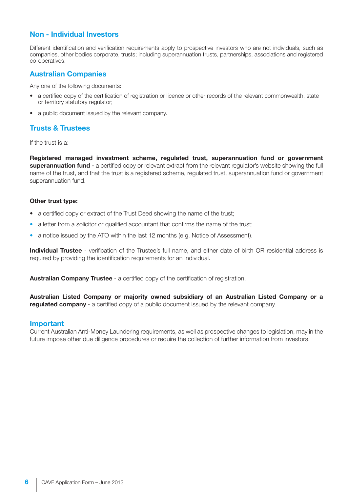# **Non - Individual Investors**

Different identification and verification requirements apply to prospective investors who are not individuals, such as companies, other bodies corporate, trusts; including superannuation trusts, partnerships, associations and registered co-operatives.

# **Australian Companies**

Any one of the following documents:

- a certified copy of the certification of registration or licence or other records of the relevant commonwealth, state or territory statutory regulator;
- a public document issued by the relevant company.

# **Trusts & Trustees**

If the trust is a:

**Registered managed investment scheme, regulated trust, superannuation fund or government superannuation fund -** a certified copy or relevant extract from the relevant regulator's website showing the full name of the trust, and that the trust is a registered scheme, regulated trust, superannuation fund or government superannuation fund.

# **Other trust type:**

- a certified copy or extract of the Trust Deed showing the name of the trust;
- a letter from a solicitor or qualified accountant that confirms the name of the trust;
- a notice issued by the ATO within the last 12 months (e.g. Notice of Assessment).

**Individual Trustee** - verification of the Trustee's full name, and either date of birth OR residential address is required by providing the identification requirements for an Individual.

**Australian Company Trustee** - a certified copy of the certification of registration.

**Australian Listed Company or majority owned subsidiary of an Australian Listed Company or a regulated company** - a certified copy of a public document issued by the relevant company.

# **Important**

Current Australian Anti-Money Laundering requirements, as well as prospective changes to legislation, may in the future impose other due diligence procedures or require the collection of further information from investors.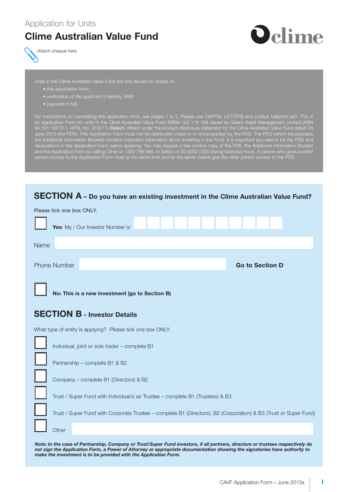# **Clime Australian Value Fund**





Units in the Clime Australian Value Fund are only issued on receipt of:

- this application form;
- verification of the applicant's identity, AND
- 

For instructions on completing this application form, see pages 1 to 5. Please use CAPITAL LETTERS and a black ballpoint pen. This is an Application Form for units in the Clime Australian Value Fund ARSN 126 118 189 issued by Select Asset Management Limited (ABN 94 101 103 011, AFSL No. 223271) (Select) offered under the product disclosure statement for the Clime Australian Value Fund dated 24 June 2013 (the PDS). This Application Form must not be distributed unless in or accompanied by, the PDS. The PDS (which incorporates the Additional Information Booklet) contains important information about investing in the Fund. It is important you read in full the PDS and declarations in this Application Form before applying. You may request a free printed copy of the PDS, the Additional Information Booklet and the Application Form by calling Clime on 1300 788 568, or Select on 02 8252 2200 during business hours. A person who gives another person access to the Application Form must at the same time and by the same means give the other person access to the PDS.

# **SECTION A – Do you have an existing investment in the Clime Australian Value Fund?**

|                                                                               | Please tick one box ONLY.                                                                                        |  |  |  |
|-------------------------------------------------------------------------------|------------------------------------------------------------------------------------------------------------------|--|--|--|
|                                                                               | Yes: My / Our Investor Number is                                                                                 |  |  |  |
| Name                                                                          |                                                                                                                  |  |  |  |
|                                                                               | <b>Phone Number</b><br><b>Go to Section D</b>                                                                    |  |  |  |
|                                                                               | No: This is a new investment (go to Section B)                                                                   |  |  |  |
|                                                                               | <b>SECTION B - Investor Details</b>                                                                              |  |  |  |
|                                                                               | What type of entity is applying? Please tick one box ONLY.                                                       |  |  |  |
|                                                                               | Individual, joint or sole trader - complete B1                                                                   |  |  |  |
|                                                                               | Partnership - complete B1 & B2                                                                                   |  |  |  |
|                                                                               | Company - complete B1 (Directors) & B2                                                                           |  |  |  |
| Trust / Super Fund with Individual/s as Trustee - complete B1 (Trustees) & B3 |                                                                                                                  |  |  |  |
|                                                                               | Trust / Super Fund with Corporate Trustee - complete B1 (Directors), B2 (Corporation) & B3 (Trust or Super Fund) |  |  |  |
|                                                                               | Other                                                                                                            |  |  |  |

*Note: In the case of Partnership, Company or Trust/Super Fund investors, if all partners, directors or trustees respectively do not sign the Application Form, a Power of Attorney or appropriate documentation showing the signatories have authority to make the investment is to be provided with the Application Form.*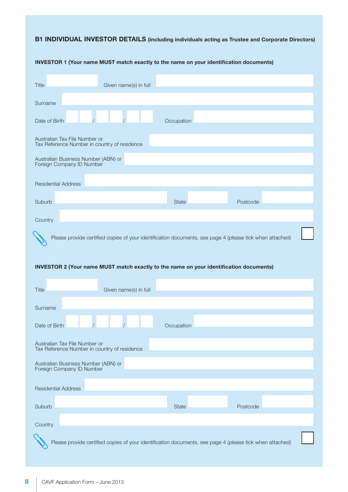# **B1 INDIVIDUAL INVESTOR DETAILS (including individuals acting as Trustee and Corporate Directors)**

| Title                                                            | Given name(s) in full                                                                  |              |                                                                                                          |  |
|------------------------------------------------------------------|----------------------------------------------------------------------------------------|--------------|----------------------------------------------------------------------------------------------------------|--|
| Surname                                                          |                                                                                        |              |                                                                                                          |  |
| Date of Birth                                                    |                                                                                        | Occupation   |                                                                                                          |  |
| Australian Tax File Number or                                    | Tax Reference Number in country of residence                                           |              |                                                                                                          |  |
| Australian Business Number (ABN) or<br>Foreign Company ID Number |                                                                                        |              |                                                                                                          |  |
| <b>Residential Address</b>                                       |                                                                                        |              |                                                                                                          |  |
| Suburb                                                           |                                                                                        | <b>State</b> | Postcode                                                                                                 |  |
| Country                                                          |                                                                                        |              |                                                                                                          |  |
|                                                                  |                                                                                        |              | Please provide certified copies of your identification documents, see page 4 (please tick when attached) |  |
|                                                                  | INVESTOR 2 (Your name MUST match exactly to the name on your identification documents) |              |                                                                                                          |  |
| Title                                                            | Given name(s) in full                                                                  |              |                                                                                                          |  |
| Surname                                                          |                                                                                        |              |                                                                                                          |  |
| Date of Birth                                                    |                                                                                        | Occupation   |                                                                                                          |  |
| Augtralian Tay Eila Number or                                    |                                                                                        |              |                                                                                                          |  |

## **INVESTOR 1 (Your name MUST match exactly to the name on your identification documents)**

| <b>Title</b>               |                                                                  | Given name(s) in full                        |              |                                                                                                          |  |
|----------------------------|------------------------------------------------------------------|----------------------------------------------|--------------|----------------------------------------------------------------------------------------------------------|--|
| Surname                    |                                                                  |                                              |              |                                                                                                          |  |
| Date of Birth              |                                                                  |                                              | Occupation   |                                                                                                          |  |
|                            | Australian Tax File Number or                                    | Tax Reference Number in country of residence |              |                                                                                                          |  |
|                            | Australian Business Number (ABN) or<br>Foreign Company ID Number |                                              |              |                                                                                                          |  |
| <b>Residential Address</b> |                                                                  |                                              |              |                                                                                                          |  |
| Suburb                     |                                                                  |                                              | <b>State</b> | Postcode                                                                                                 |  |
| Country                    |                                                                  |                                              |              |                                                                                                          |  |
|                            |                                                                  |                                              |              | Please provide certified copies of your identification documents, see page 4 (please tick when attached) |  |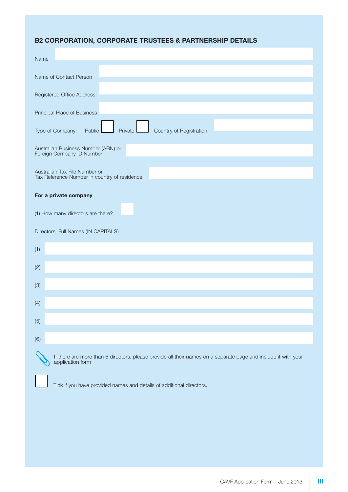# **B2 CORPORATION, CORPORATE TRUSTEES & PARTNERSHIP DETAILS**

| Name                                                                                                                               |
|------------------------------------------------------------------------------------------------------------------------------------|
| Name of Contact Person                                                                                                             |
|                                                                                                                                    |
| Registered Office Address:                                                                                                         |
| Principal Place of Business:                                                                                                       |
| Country of Registration<br>Private<br>Type of Company:<br>Public                                                                   |
| Australian Business Number (ABN) or<br>Foreign Company ID Number                                                                   |
| Australian Tax File Number or<br>Tax Reference Number in country of residence                                                      |
| For a private company                                                                                                              |
| (1) How many directors are there?                                                                                                  |
| Directors' Full Names (IN CAPITALS)                                                                                                |
| (1)                                                                                                                                |
| (2)                                                                                                                                |
| (3)                                                                                                                                |
| (4)                                                                                                                                |
| (5)                                                                                                                                |
| (6)                                                                                                                                |
| If there are more than 6 directors, please provide all their names on a separate page and include it with your<br>application form |

Tick if you have provided names and details of additional directors.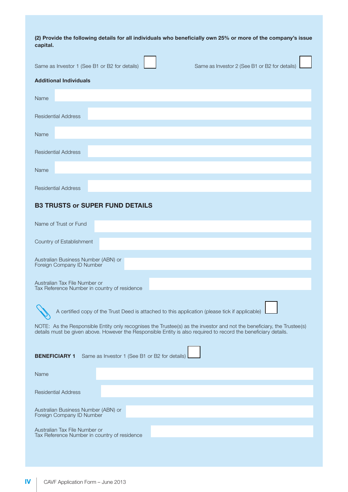**(2) Provide the following details for all individuals who beneficially own 25% or more of the company's issue capital.**

| (2) Provide the following details for all individuals who beneficially own 25% or more of the company's issue<br>capital.                                                                                                                 |
|-------------------------------------------------------------------------------------------------------------------------------------------------------------------------------------------------------------------------------------------|
| Same as Investor 1 (See B1 or B2 for details)<br>Same as Investor 2 (See B1 or B2 for details)                                                                                                                                            |
| <b>Additional Individuals</b>                                                                                                                                                                                                             |
| Name                                                                                                                                                                                                                                      |
| <b>Residential Address</b>                                                                                                                                                                                                                |
| Name                                                                                                                                                                                                                                      |
| <b>Residential Address</b>                                                                                                                                                                                                                |
| Name                                                                                                                                                                                                                                      |
| <b>Residential Address</b>                                                                                                                                                                                                                |
| <b>B3 TRUSTS or SUPER FUND DETAILS</b>                                                                                                                                                                                                    |
| Name of Trust or Fund                                                                                                                                                                                                                     |
| Country of Establishment                                                                                                                                                                                                                  |
| Australian Business Number (ABN) or<br>Foreign Company ID Number                                                                                                                                                                          |
| Australian Tax File Number or<br>Tax Reference Number in country of residence                                                                                                                                                             |
| A certified copy of the Trust Deed is attached to this application (please tick if applicable)                                                                                                                                            |
| NOTE: As the Responsible Entity only recognises the Trustee(s) as the investor and not the beneficiary, the Trustee(s)<br>details must be given above. However the Responsible Entity is also required to record the beneficiary details. |
| Same as Investor 1 (See B1 or B2 for details)<br><b>BENEFICIARY 1</b>                                                                                                                                                                     |
| Name                                                                                                                                                                                                                                      |
| <b>Residential Address</b>                                                                                                                                                                                                                |

Australian Business Number (ABN) or Foreign Company ID Number

Australian Tax File Number or Tax Reference Number in country of residence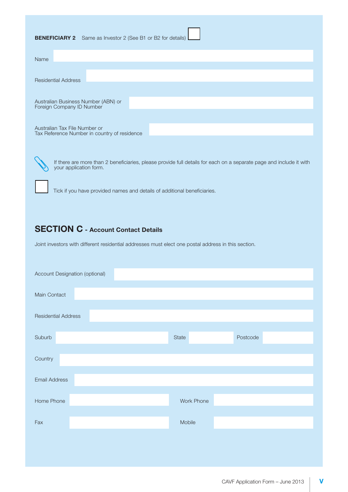| <b>BENEFICIARY 2</b> Same as Investor 2 (See B1 or B2 for details)            |
|-------------------------------------------------------------------------------|
| Name                                                                          |
| <b>Residential Address</b>                                                    |
| Australian Business Number (ABN) or<br>Foreign Company ID Number              |
| Australian Tax File Number or<br>Tax Reference Number in country of residence |

If there are more than 2 beneficiaries, please provide full details for each on a separate page and include it with your application form.

Tick if you have provided names and details of additional beneficiaries.

# **SECTION C - Account Contact Details**

Joint investors with different residential addresses must elect one postal address in this section.

| Account Designation (optional) |  |            |          |  |  |  |
|--------------------------------|--|------------|----------|--|--|--|
| Main Contact                   |  |            |          |  |  |  |
| <b>Residential Address</b>     |  |            |          |  |  |  |
| Suburb                         |  | State      | Postcode |  |  |  |
| Country                        |  |            |          |  |  |  |
| <b>Email Address</b>           |  |            |          |  |  |  |
| Home Phone                     |  | Work Phone |          |  |  |  |
| Fax                            |  | Mobile     |          |  |  |  |
|                                |  |            |          |  |  |  |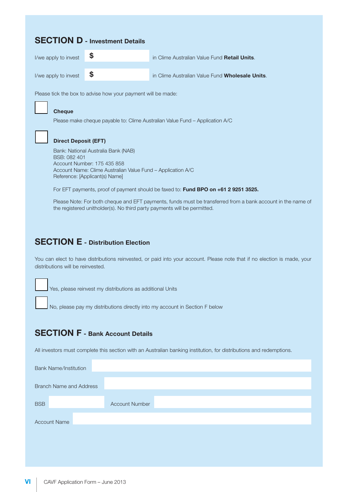# **SECTION D - Investment Details**

| I/we apply to invest           | in Clime Australian Value Fund Retail Units.    |
|--------------------------------|-------------------------------------------------|
| I/we apply to invest $\bullet$ | in Clime Australian Value Fund Wholesale Units. |

Please tick the box to advise how your payment will be made:

#### n **Cheque**

Please make cheque payable to: Clime Australian Value Fund – Application A/C

## **Direct Deposit (EFT)**

 Bank: National Australia Bank (NAB) BSB: 082 401 Account Number: 175 435 858 Account Name: Clime Australian Value Fund – Application A/C Reference: [Applicant(s) Name]

For EFT payments, proof of payment should be faxed to: **Fund BPO on +61 2 9251 3525.**

 Please Note: For both cheque and EFT payments, funds must be transferred from a bank account in the name of the registered unitholder(s). No third party payments will be permitted.

# **SECTION E - Distribution Election**

You can elect to have distributions reinvested, or paid into your account. Please note that if no election is made, your distributions will be reinvested.

Yes, please reinvest my distributions as additional Units

No, please pay my distributions directly into my account in Section F below

# **SECTION F - Bank Account Details**

All investors must complete this section with an Australian banking institution, for distributions and redemptions.

|            | <b>Bank Name/Institution</b> |                                |                       |  |
|------------|------------------------------|--------------------------------|-----------------------|--|
|            |                              | <b>Branch Name and Address</b> |                       |  |
| <b>BSB</b> |                              |                                | <b>Account Number</b> |  |
|            | <b>Account Name</b>          |                                |                       |  |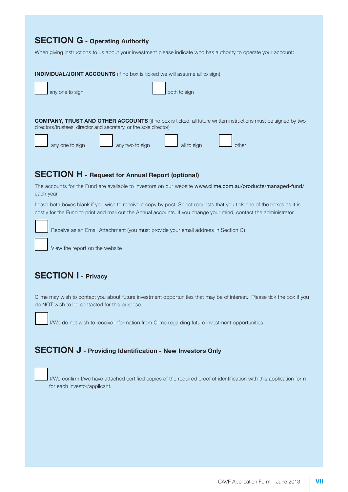# **SECTION G - Operating Authority**

When giving instructions to us about your investment please indicate who has authority to operate your account:



# **SECTION H - Request for Annual Report (optional)**

The accounts for the Fund are available to investors on our website www.clime.com.au/products/managed-fund/ each year.

Leave both boxes blank if you wish to receive a copy by post. Select requests that you tick one of the boxes as it is costly for the Fund to print and mail out the Annual accounts. If you change your mind, contact the administrator.

Receive as an Email Attachment (you must provide your email address in Section C)

View the report on the website

# **SECTION I - Privacy**

Clime may wish to contact you about future investment opportunities that may be of interest. Please tick the box if you do NOT wish to be contacted for this purpose.

I/We do not wish to receive information from Clime regarding future investment opportunities.

# **SECTION J - Providing Identification - New Investors Only**

I/We confirm I/we have attached certified copies of the required proof of identification with this application form for each investor/applicant.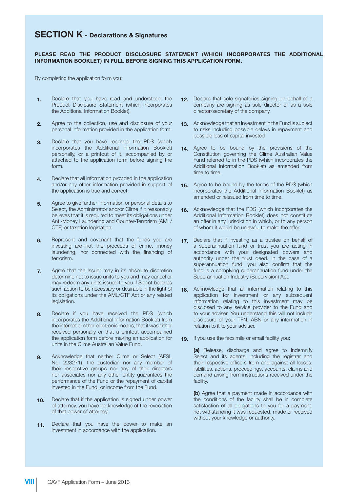# **SECTION K - Declarations & Signatures**

#### **PLEASE READ THE PRODUCT DISCLOSURE STATEMENT (WHICH INCORPORATES THE ADDITIONAL INFORMATION BOOKLET) IN FULL BEFORE SIGNING THIS APPLICATION FORM.**

By completing the application form you:

- **1.** Declare that you have read and understood the Product Disclosure Statement (which incorporates the Additional Information Booklet).
- **2.** Agree to the collection, use and disclosure of your personal information provided in the application form.
- **3.** Declare that you have received the PDS (which incorporates the Additional Information Booklet) personally, or a printout of it, accompanied by or attached to the application form before signing the form.
- **4.** Declare that all information provided in the application and/or any other information provided in support of the application is true and correct.
- **5.** Agree to give further information or personal details to Select, the Administrator and/or Clime if it reasonably believes that it is required to meet its obligations under Anti-Money Laundering and Counter-Terrorism (AML/ CTF) or taxation legislation.
- **6.** Represent and covenant that the funds you are investing are not the proceeds of crime, money laundering, nor connected with the financing of terrorism.
- **7.** Agree that the Issuer may in its absolute discretion determine not to issue units to you and may cancel or may redeem any units issued to you if Select believes such action to be necessary or desirable in the light of its obligations under the AML/CTF Act or any related legislation.
- **8.** Declare if you have received the PDS (which incorporates the Additional Information Booklet) from the internet or other electronic means, that it was either received personally or that a printout accompanied the application form before making an application for units in the Clime Australian Value Fund.
- **9.** Acknowledge that neither Clime or Select (AFSL No. 223271), the custodian nor any member of their respective groups nor any of their directors nor associates nor any other entity guarantees the performance of the Fund or the repayment of capital invested in the Fund, or income from the Fund.
- **10.** Declare that if the application is signed under power of attorney, you have no knowledge of the revocation of that power of attorney.
- **11.** Declare that you have the power to make an investment in accordance with the application.
- **12.** Declare that sole signatories signing on behalf of a company are signing as sole director or as a sole director/secretary of the company.
- **13.** Acknowledge that an investment in the Fund is subject to risks including possible delays in repayment and possible loss of capital invested
- **14.** Agree to be bound by the provisions of the Constitution governing the Clime Australian Value Fund referred to in the PDS (which incorporates the Additional Information Booklet) as amended from time to time.
- **15.** Agree to be bound by the terms of the PDS (which incorporates the Additional Information Booklet) as amended or reissued from time to time.
- **16.** Acknowledge that the PDS (which incorporates the Additional Information Booklet) does not constitute an offer in any jurisdiction in which, or to any person of whom it would be unlawful to make the offer.
- **17.** Declare that if investing as a trustee on behalf of a superannuation fund or trust you are acting in accordance with your designated powers and authority under the trust deed. In the case of a superannuation fund, you also confirm that the fund is a complying superannuation fund under the Superannuation Industry (Supervision) Act.
- **18.** Acknowledge that all information relating to this application for investment or any subsequent information relating to this investment may be disclosed to any service provider to the Fund and to your adviser. You understand this will not include disclosure of your TFN, ABN or any information in relation to it to your adviser.
- **19.** If you use the facsimile or email facility you:

**(a)** Release, discharge and agree to indemnify Select and its agents, including the registrar and their respective officers from and against all losses, liabilities, actions, proceedings, accounts, claims and demand arising from instructions received under the facility.

**(b)** Agree that a payment made in accordance with the conditions of the facility shall be in complete satisfaction of all obligations to you for a payment, not withstanding it was requested, made or received without your knowledge or authority.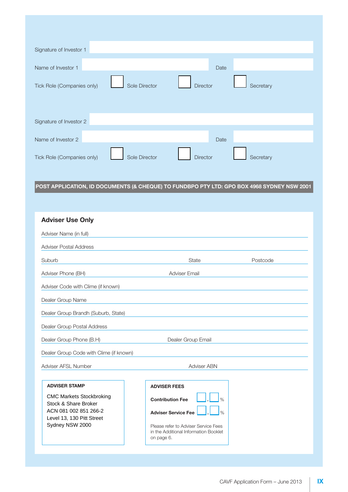| Signature of Investor 1    |               |                 |      |           |
|----------------------------|---------------|-----------------|------|-----------|
| Name of Investor 1         |               |                 | Date |           |
| Tick Role (Companies only) | Sole Director | <b>Director</b> |      | Secretary |
| Signature of Investor 2    |               |                 |      |           |
| Name of Investor 2         |               |                 | Date |           |
| Tick Role (Companies only) | Sole Director | <b>Director</b> |      | Secretary |

# **POST APPLICATION, ID DOCUMENTS (& CHEQUE) TO FUNDBPO PTY LTD: GPO BOX 4968 SYDNEY NSW 2001**

| <b>Adviser Use Only</b>                                                                                                                                  |                                                                                                                                                                                                               |          |  |  |
|----------------------------------------------------------------------------------------------------------------------------------------------------------|---------------------------------------------------------------------------------------------------------------------------------------------------------------------------------------------------------------|----------|--|--|
| Adviser Name (in full)                                                                                                                                   |                                                                                                                                                                                                               |          |  |  |
| <b>Adviser Postal Address</b>                                                                                                                            |                                                                                                                                                                                                               |          |  |  |
| Suburb                                                                                                                                                   | <b>State</b>                                                                                                                                                                                                  | Postcode |  |  |
| Adviser Phone (BH)                                                                                                                                       | <b>Adviser Email</b>                                                                                                                                                                                          |          |  |  |
| Adviser Code with Clime (if known)                                                                                                                       |                                                                                                                                                                                                               |          |  |  |
| Dealer Group Name                                                                                                                                        |                                                                                                                                                                                                               |          |  |  |
| Dealer Group Brandh (Suburb, State)                                                                                                                      |                                                                                                                                                                                                               |          |  |  |
| Dealer Group Postal Address                                                                                                                              |                                                                                                                                                                                                               |          |  |  |
| Dealer Group Phone (B.H)                                                                                                                                 | Dealer Group Email                                                                                                                                                                                            |          |  |  |
| Dealer Group Code with Clime (if known)                                                                                                                  |                                                                                                                                                                                                               |          |  |  |
| Adviser AFSL Number                                                                                                                                      | Adviser ABN                                                                                                                                                                                                   |          |  |  |
|                                                                                                                                                          |                                                                                                                                                                                                               |          |  |  |
| <b>ADVISER STAMP</b><br><b>CMC Markets Stockbroking</b><br>Stock & Share Broker<br>ACN 081 002 851 266-2<br>Level 13, 130 Pitt Street<br>Sydney NSW 2000 | <b>ADVISER FEES</b><br>$\frac{1}{2}$<br><b>Contribution Fee</b><br><b>Adviser Service Fee</b><br>$\frac{0}{0}$<br>Please refer to Adviser Service Fees<br>in the Additional Information Booklet<br>on page 6. |          |  |  |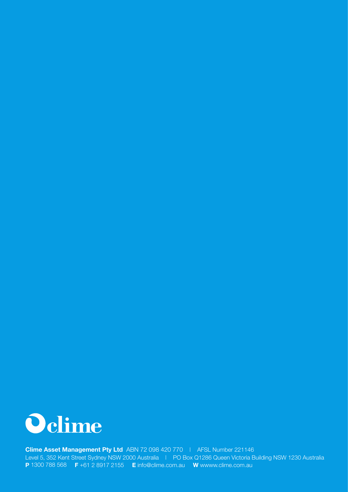

**Clime Asset Management Pty Ltd** ABN 72 098 420 770 | AFSL Number 221146 Level 5, 352 Kent Street Sydney NSW 2000 Australia | PO Box Q1286 Queen Victoria Building NSW 1230 Australia **P** 1300 788 568 **F** +61 2 8917 2155 **E** info@clime.com.au **W** wwww.clime.com.au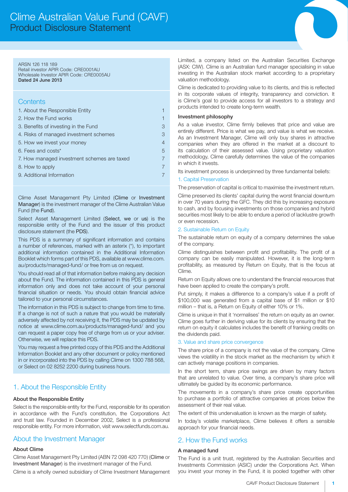#### ARSN 126 118 189

Retail investor APIR Code: CRE0001AU Wholesale Investor APIR Code: CRE0005AU Dated 24 June 2013

## **Contents**

| 1. About the Responsible Entity             |   |
|---------------------------------------------|---|
| 2. How the Fund works                       |   |
| 3. Benefits of investing in the Fund        | 3 |
| 4. Risks of managed investment schemes      | 3 |
| 5. How we invest your money                 | 4 |
| 6. Fees and costs*                          | 5 |
| 7. How managed investment schemes are taxed |   |
| 8. How to apply                             |   |
| 9. Additional Information                   |   |
|                                             |   |

Clime Asset Management Pty Limited (Clime or Investment Manager) is the investment manager of the Clime Australian Value Fund (the Fund).

Select Asset Management Limited (Select, we or us) is the responsible entity of the Fund and the issuer of this product disclosure statement (the PDS).

This PDS is a summary of significant information and contains a number of references, marked with an asterix (\*), to important additional information contained in the Additional Information Booklet which forms part of this PDS, available at www.clime.com. au/products/managed-fund/ or free from us on request.

You should read all of that information before making any decision about the Fund. The information contained in this PDS is general information only and does not take account of your personal financial situation or needs. You should obtain financial advice tailored to your personal circumstances.

The information in this PDS is subject to change from time to time. If a change is not of such a nature that you would be materially adversely affected by not receiving it, the PDS may be updated by notice at www.clime.com.au/products/managed-fund/ and you can request a paper copy free of charge from us or your adviser. Otherwise, we will replace this PDS.

You may request a free printed copy of this PDS and the Additional Information Booklet and any other document or policy mentioned in or incorporated into the PDS by calling Clime on 1300 788 568, or Select on 02 8252 2200 during business hours.

# 1. About the Responsible Entity

#### About the Responsible Entity

Select is the responsible entity for the Fund, responsible for its operation in accordance with the Fund's constitution, the Corporations Act and trust law. Founded in December 2002, Select is a professional responsible entity. For more information, visit www.selectfunds.com.au.

# About the Investment Manager

#### About Clime

Clime Asset Management Pty Limited (ABN 72 098 420 770) (Clime or Investment Manager) is the investment manager of the Fund.

Clime is a wholly owned subsidiary of Clime Investment Management

Limited, a company listed on the Australian Securities Exchange (ASX: CIW). Clime is an Australian fund manager specialising in value investing in the Australian stock market according to a proprietary valuation methodology.

Clime is dedicated to providing value to its clients, and this is reflected in its corporate values of integrity, transparency and conviction. It is Clime's goal to provide access for all investors to a strategy and products intended to create long-term wealth.

#### Investment philosophy

As a value investor, Clime firmly believes that price and value are entirely different. Price is what we pay, and value is what we receive. As an Investment Manager, Clime will only buy shares in attractive companies when they are offered in the market at a discount to its calculation of their assessed value. Using proprietary valuation methodology, Clime carefully determines the value of the companies in which it invests.

Its investment process is underpinned by three fundamental beliefs:

#### 1. Capital Preservation

The preservation of capital is critical to maximise the investment return.

Clime preserved its clients' capital during the worst financial downturn in over 70 years during the GFC. They did this by increasing exposure to cash, and by focusing investments on those companies and hybrid securities most likely to be able to endure a period of lacklustre growth or even recession.

#### 2. Sustainable Return on Equity

The sustainable return on equity of a company determines the value of the company.

Clime distinguishes between profit and profitability. The profit of a company can be easily manipulated. However, it is the long-term profitability, as measured by Return on Equity, that is the focus at Clime.

Return on Equity allows one to understand the financial resources that have been applied to create the company's profit.

Put simply, it makes a difference to a company's value if a profit of \$100,000 was generated from a capital base of \$1 million or \$10 million – that is, a Return on Equity of either 10% or 1%.

Clime is unique in that it 'normalises' the return on equity as an owner. Clime goes further in deriving value for its clients by ensuring that the return on equity it calculates includes the benefit of franking credits on the dividends paid.

#### 3. Value and share price convergence

The share price of a company is not the value of the company. Clime views the volatility in the stock market as the mechanism by which it can actively manage positions in companies.

In the short term, share price swings are driven by many factors that are unrelated to value. Over time, a company's share price will ultimately be guided by its economic performance.

The movements in a company's share price create opportunities to purchase a portfolio of attractive companies at prices below the assessment of their real value.

The extent of this undervaluation is known as the margin of safety.

In today's volatile marketplace, Clime believes it offers a sensible approach for your financial needs.

# 2. How the Fund works

## A managed fund

The Fund is a unit trust, registered by the Australian Securities and Investments Commission (ASIC) under the Corporations Act. When you invest your money in the Fund, it is pooled together with other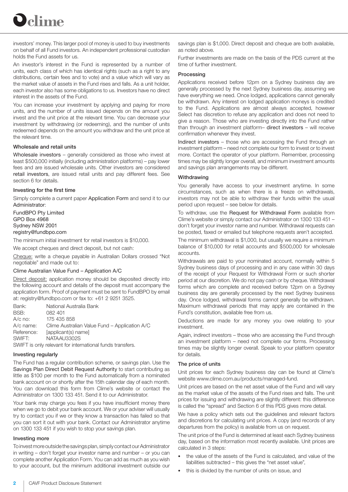

investors' money. This larger pool of money is used to buy investments on behalf of all Fund investors. An independent professional custodian holds the Fund assets for us.

An investor's interest in the Fund is represented by a number of units, each class of which has identical rights (such as a right to any distributions, certain fees and to vote) and a value which will vary as the market value of assets in the Fund rises and falls. As a unit holder, each investor also has some obligations to us. Investors have no direct interest in the assets of the Fund.

You can increase your investment by applying and paying for more units, and the number of units issued depends on the amount you invest and the unit price at the relevant time. You can decrease your investment by withdrawing (or redeeming), and the number of units redeemed depends on the amount you withdraw and the unit price at the relevant time.

#### Wholesale and retail units

Wholesale investors – generally considered as those who invest at least \$500,000 initially (including administration platforms) – pay lower fees and are issued wholesale units. Other investors are considered retail investors, are issued retail units and pay different fees. See section 6 for details.

#### Investing for the first time

Simply complete a current paper Application Form and send it to our Administrator:

FundBPO Pty Limited GPO Box 4968 Sydney NSW 2001 registry@fundbpo.com

The minimum initial investment for retail investors is \$10,000.

We accept cheques and direct deposit, but not cash:

Cheque: write a cheque payable in Australian Dollars crossed "Not negotiable" and made out to:

#### Clime Australian Value Fund – Application A/C

Direct deposit: application money should be deposited directly into the following account and details of the deposit must accompany the application form. Proof of payment must be sent to FundBPO by email at: registry@fundbpo.com or fax to: +61 2 9251 3525.

Bank: National Australia Bank BSB: 082 401 A/c no: 175 435 858 A/c name: Clime Australian Value Fund – Application A/C Reference: [applicant(s) name] SWIFT: NATAAU3302S SWIFT is only relevant for international funds transfers.

#### Investing regularly

The Fund has a regular contribution scheme, or savings plan. Use the Savings Plan Direct Debit Request Authority to start contributing as little as \$100 per month to the Fund automatically from a nominated bank account on or shortly after the 15th calendar day of each month. You can download this form from Clime's website or contact the Administrator on 1300 133 451. Send it to our Administrator.

Your bank may charge you fees if you have insufficient money there when we go to debit your bank account. We or your adviser will usually try to contact you if we or they know a transaction has failed so that you can sort it out with your bank. Contact our Administrator anytime on 1300 133 451 if you wish to stop your savings plan.

#### Investing more

To invest more outside the savings plan, simply contact our Administrator in writing – don't forget your investor name and number – or you can complete another Application Form. You can add as much as you wish to your account, but the minimum additional investment outside our

savings plan is \$1,000. Direct deposit and cheque are both available, as noted above.

Further investments are made on the basis of the PDS current at the time of further investment.

#### Processing

Applications received before 12pm on a Sydney business day are generally processed by the next Sydney business day, assuming we have everything we need. Once lodged, applications cannot generally be withdrawn. Any interest on lodged application moneys is credited to the Fund. Applications are almost always accepted, however Select has discretion to refuse any application and does not need to give a reason. Those who are investing directly into the Fund rather than through an investment platform– direct investors – will receive confirmation whenever they invest.

Indirect investors – those who are accessing the Fund through an investment platform – need not complete our form to invest or to invest more. Contact the operator of your platform. Remember, processing times may be slightly longer overall, and minimum investment amounts and savings plan arrangements may be different.

#### **Withdrawing**

You generally have access to your investment anytime. In some circumstances, such as when there is a freeze on withdrawals, investors may not be able to withdraw their funds within the usual period upon request – see below for details.

To withdraw, use the Request for Withdrawal Form available from Clime's website or simply contact our Administrator on 1300 133 451 – don't forget your investor name and number. Withdrawal requests can be posted, faxed or emailed but telephone requests aren't accepted.

The minimum withdrawal is \$1,000, but usually we require a minimum balance of \$10,000 for retail accounts and \$500,000 for wholesale accounts.

Withdrawals are paid to your nominated account, normally within 5 Sydney business days of processing and in any case within 30 days of the receipt of your Request for Withdrawal Form or such shorter period at our discretion. We do not pay cash or by cheque. Withdrawal forms which are complete and received before 12pm on a Sydney business day are generally processed by the next Sydney business day. Once lodged, withdrawal forms cannot generally be withdrawn. Maximum withdrawal periods that may apply are contained in the Fund's constitution, available free from us.

Deductions are made for any money you owe relating to your investment.

Again, indirect investors – those who are accessing the Fund through an investment platform – need not complete our forms. Processing times may be slightly longer overall. Speak to your platform operator for details.

#### The price of units

Unit prices for each Sydney business day can be found at Clime's website www.clime.com.au/products/managed-fund.

Unit prices are based on the net asset value of the Fund and will vary as the market value of the assets of the Fund rises and falls. The unit prices for issuing and withdrawing are slightly different: this difference is called the "spread" and Section 6 of this PDS gives more detail.

We have a policy which sets out the guidelines and relevant factors and discretions for calculating unit prices. A copy (and records of any departures from the policy) is available from us on request.

The unit price of the Fund is determined at least each Sydney business day, based on the information most recently available. Unit prices are calculated in 3 steps:

- the value of the assets of the Fund is calculated, and value of the liabilities subtracted – this gives the "net asset value",
- this is divided by the number of units on issue, and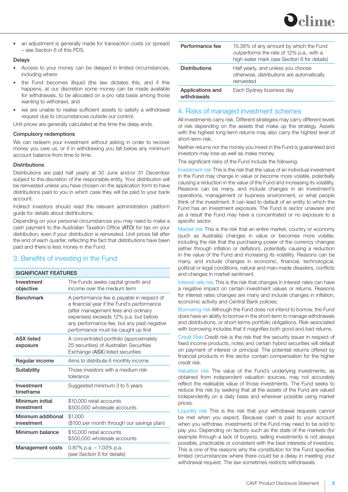

• an adjustment is generally made for transaction costs (or spread) – see Section 6 of this PDS.

#### Delays

- Access to your money can be delayed in limited circumstances, including where:
- the Fund becomes illiquid (the law dictates this, and if this happens, at our discretion some money can be made available for withdrawals, to be allocated on a pro rata basis among those wanting to withdraw), and
- we are unable to realise sufficient assets to satisfy a withdrawal request due to circumstances outside our control.

Unit prices are generally calculated at the time the delay ends.

#### Compulsory redemptions

We can redeem your investment without asking in order to recover money you owe us, or if in withdrawing you fall below any minimum account balance from time to time.

#### **Distributions**

Distributions are paid half yearly at 30 June and/or 31 December subject to the discretion of the responsible entity. Your distribution will be reinvested unless you have chosen on the application form to have distributions paid to you in which case they will be paid to your bank account.

Indirect investors should read the relevant administration platform guide for details about distributions.

Depending on your personal circumstances you may need to make a cash payment to the Australian Taxation Office (ATO) for tax on your distribution, even if your distribution is reinvested. Unit prices fall after the end of each quarter, reflecting the fact that distributions have been paid and there is less money in the Fund.

# 3. Benefits of investing in the Fund

| <b>SIGNIFICANT FEATURES</b>      |                                                                                                                                                                                                                                                               |  |
|----------------------------------|---------------------------------------------------------------------------------------------------------------------------------------------------------------------------------------------------------------------------------------------------------------|--|
| Investment<br>objective          | The Funds seeks capital growth and<br>income over the medium term                                                                                                                                                                                             |  |
| <b>Benchmark</b>                 | A performance fee is payable in respect of<br>a financial year if the Fund's performance<br>(after management fees and ordinary<br>expenses) exceeds 12% p.a. but before<br>any performance fee, but any past negative<br>performance must be caught up first |  |
| <b>ASX listed</b><br>exposure    | A concentrated portfolio (approximately<br>25 securities) of Australian Securities<br>Exchange (ASX) listed securities                                                                                                                                        |  |
| Regular income                   | Aims to distribute 6 monthly income                                                                                                                                                                                                                           |  |
| Suitability                      | Those investors with a medium risk<br>tolerance                                                                                                                                                                                                               |  |
| Investment<br>timeframe          | Suggested minimum 3 to 5 years                                                                                                                                                                                                                                |  |
| Minimum initial<br>investment    | \$10,000 retail accounts<br>\$500,000 wholesale accounts                                                                                                                                                                                                      |  |
| Minimum additional<br>investment | \$1,000<br>(\$100 per month through our savings plan)                                                                                                                                                                                                         |  |
| Minimum balance                  | \$10,000 retail accounts<br>\$500,000 wholesale accounts                                                                                                                                                                                                      |  |
| <b>Management costs</b>          | 0.87% p.a. $-1.03\%$ p.a.<br>(see Section 6 for details)                                                                                                                                                                                                      |  |

| Performance fee                 | 15.38% of any amount by which the Fund<br>outperforms the rate of 12% p.a., with a<br>high water mark (see Section 6 for details) |  |
|---------------------------------|-----------------------------------------------------------------------------------------------------------------------------------|--|
| <b>Distributions</b>            | Half yearly, and unless you choose<br>otherwise, distributions are automatically<br>reinvested                                    |  |
| Applications and<br>withdrawals | Each Sydney business day                                                                                                          |  |

## 4. Risks of managed investment schemes

All investments carry risk. Different strategies may carry different levels of risk depending on the assets that make up the strategy. Assets with the highest long-term returns may also carry the highest level of short-term risk.

Neither returns nor the money you invest in the Fund is guaranteed and investors may lose as well as make money.

The significant risks of the Fund include the following.

Investment risk This is the risk that the value of an individual investment in the Fund may change in value or become more volatile, potentially causing a reduction in the value of the Fund and increasing its volatility. Reasons can be many, and include changes in an investment's operations, management or business environment, or what people think of the investment. It can lead to default of an entity to which the Fund has an investment exposure. The Fund is sector unaware and as a result the Fund may have a concentrated or no exposure to a specific sector.

Market risk This is the risk that an entire market, country or economy (such as Australia) changes in value or becomes more volatile, including the risk that the purchasing power of the currency changes (either through inflation or deflation), potentially causing a reduction in the value of the Fund and increasing its volatility. Reasons can be many, and include changes in economic, financial, technological, political or legal conditions, natural and man-made disasters, conflicts and changes in market sentiment.

Interest rate risk This is the risk that changes in interest rates can have a negative impact on certain investment values or returns. Reasons for interest rates changes are many and include changes in inflation, economic activity and Central Bank policies.

Borrowing risk Although the Fund does not intend to borrow, the Fund does have an ability to borrow in the short-term to manage withdrawals and distributions, or short terms portfolio obligations. Risk associated with borrowing includes that it magnifies both good and bad returns.

Credit Risk Credit risk is the risk that the security issuer in respect of fixed income products, notes and certain hybrid securities will default on payment of interest or principal. The potential returns offered by financial products in this sector contain compensation for the higher credit risk.

Valuation risk The value of the Fund's underlying investments, as obtained from independent valuation sources, may not accurately reflect the realisable value of those investments. The Fund seeks to reduce this risk by seeking that all the assets of the Fund are valued independently on a daily basis and wherever possible using market prices.

Liquidity risk This is the risk that your withdrawal requests cannot be met when you expect. Because cash is paid to your account when you withdraw, investments of the Fund may need to be sold to pay you. Depending on factors such as the state of the markets (for example through a lack of buyers), selling investments is not always possible, practicable or consistent with the best interests of investors. This is one of the reasons why the constitution for the Fund specifies limited circumstances where there could be a delay in meeting your withdrawal request. The law sometimes restricts withdrawals.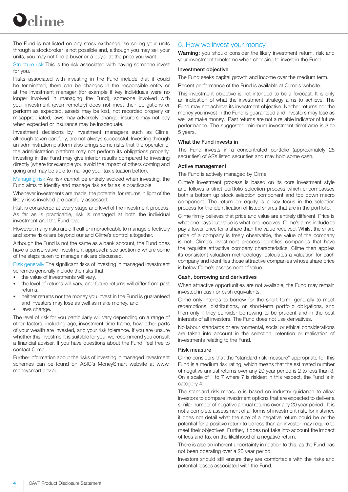

The Fund is not listed on any stock exchange, so selling your units through a stockbroker is not possible and, although you may sell your units, you may not find a buyer or a buyer at the price you want.

Structure risk This is the risk associated with having someone invest for you.

Risks associated with investing in the Fund include that it could be terminated, there can be changes in the responsible entity or at the investment manager (for example if key individuals were no longer involved in managing the Fund), someone involved with your investment (even remotely) does not meet their obligations or perform as expected, assets may be lost, not recorded properly or misappropriated, laws may adversely change, insurers may not pay when expected or insurance may be inadequate.

Investment decisions by investment managers such as Clime, although taken carefully, are not always successful. Investing through an administration platform also brings some risks that the operator of the administration platform may not perform its obligations properly. Investing in the Fund may give inferior results compared to investing directly (where for example you avoid the impact of others coming and going and may be able to manage your tax situation better).

Managing risk As risk cannot be entirely avoided when investing, the Fund aims to identify and manage risk as far as is practicable.

Whenever investments are made, the potential for returns in light of the likely risks involved are carefully assessed.

Risk is considered at every stage and level of the investment process. As far as is practicable, risk is managed at both the individual investment and the Fund level.

However, many risks are difficult or impracticable to manage effectively and some risks are beyond our and Clime's control altogether.

Although the Fund is not the same as a bank account, the Fund does have a conservative investment approach: see section 5 where some of the steps taken to manage risk are discussed.

Risk generally The significant risks of investing in managed investment schemes generally include the risks that:

- the value of investments will vary,
- the level of returns will vary, and future returns will differ from past returns,
- neither returns nor the money you invest in the Fund is guaranteed and investors may lose as well as make money, and
- laws change.

The level of risk for you particularly will vary depending on a range of other factors, including age, investment time frame, how other parts of your wealth are invested, and your risk tolerance. If you are unsure whether this investment is suitable for you, we recommend you consult a financial adviser. If you have questions about the Fund, feel free to contact Clime.

Further information about the risks of investing in managed investment schemes can be found on ASIC's MoneySmart website at www. moneysmart.gov.au.

## 5. How we invest your money

Warning: you should consider the likely investment return, risk and your investment timeframe when choosing to invest in the Fund.

#### Investment objective

The Fund seeks capital growth and income over the medium term.

Recent performance of the Fund is available at Clime's website.

This investment objective is not intended to be a forecast. It is only an indication of what the investment strategy aims to achieve. The Fund may not achieve its investment objective. Neither returns nor the money you invest in the Fund is guaranteed and investors may lose as well as make money. Past returns are not a reliable indicator of future performance. The suggested minimum investment timeframe is 3 to 5 years.

#### What the Fund invests in

The Fund invests in a concentrated portfolio (approximately 25 securities) of ASX listed securities and may hold some cash.

#### Active management

The Fund is actively managed by Clime.

Clime's investment process is based on its core investment style and follows a strict portfolio selection process which encompasses both a bottom up stock selection component and top down macro component. The return on equity is a key focus in the selection process for the identification of listed shares that are in the portfolio.

Clime firmly believes that price and value are entirely different. Price is what one pays but value is what one receives. Clime's aims include to pay a lower price for a share than the value received. Whilst the share price of a company is freely observable, the value of the company is not. Clime's investment process identifies companies that have the requisite attractive company characteristics. Clime then applies its consistent valuation methodology, calculates a valuation for each company and identifies those attractive companies whose share price is below Clime's assessment of value.

#### Cash, borrowing and derivatives

When attractive opportunities are not available, the Fund may remain invested in cash or cash equivalents.

Clime only intends to borrow for the short term, generally to meet redemptions, distributions, or short-term portfolio obligations, and then only if they consider borrowing to be prudent and in the best interests of all investors. The Fund does not use derivatives.

No labour standards or environmental, social or ethical considerations are taken into account in the selection, retention or realisation of investments relating to the Fund.

#### Risk measure

Clime considers that the "standard risk measure" appropriate for this Fund is a medium risk rating, which means that the estimated number of negative annual returns over any 20 year period is 2 to less than 3. On a scale of 1 to 7 where 7 is riskiest in this respect, the Fund is in category 4.

The standard risk measure is based on industry guidance to allow investors to compare investment options that are expected to deliver a similar number of negative annual returns over any 20 year period. It is not a complete assessment of all forms of investment risk, for instance it does not detail what the size of a negative return could be or the potential for a positive return to be less than an investor may require to meet their objectives. Further, it does not take into account the impact of fees and tax on the likelihood of a negative return.

There is also an inherent uncertainty in relation to this, as the Fund has not been operating over a 20 year period.

Investors should still ensure they are comfortable with the risks and potential losses associated with the Fund.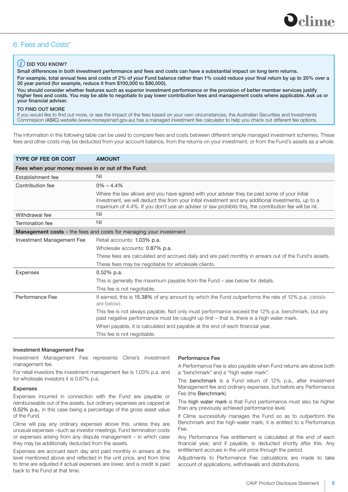

# 6. Fees and Costs\*

#### $(i)$  DID YOU KNOW?

Small differences in both investment performance and fees and costs can have a substantial impact on long term returns. For example, total annual fees and costs of 2% of your Fund balance rather than 1% could reduce your final return by up to 20% over a 30 year period (for example, reduce it from \$100,000 to \$80,000).

You should consider whether features such as superior investment performance or the provision of better member services justify higher fees and costs. You may be able to negotiate to pay lower contribution fees and management costs where applicable. Ask us or your financial adviser.

#### TO FIND OUT MORE

If you would like to find out more, or see the impact of the fees based on your own circumstances, the Australian Securities and Investments Commission (ASIC) website (www.moneysmart.gov.au) has a managed investment fee calculator to help you check out different fee options.

The information in the following table can be used to compare fees and costs between different simple managed investment schemes. These fees and other costs may be deducted from your account balance, from the returns on your investment, or from the Fund's assets as a whole.

| <b>TYPE OF FEE OR COST</b>                                                | <b>AMOUNT</b>                                                                                                                                                                                                                                                                                                 |  |  |  |
|---------------------------------------------------------------------------|---------------------------------------------------------------------------------------------------------------------------------------------------------------------------------------------------------------------------------------------------------------------------------------------------------------|--|--|--|
| Fees when your money moves in or out of the Fund:                         |                                                                                                                                                                                                                                                                                                               |  |  |  |
| Establishment fee                                                         | Nil                                                                                                                                                                                                                                                                                                           |  |  |  |
| Contribution fee                                                          | $0\% - 4.4\%$                                                                                                                                                                                                                                                                                                 |  |  |  |
|                                                                           | Where the law allows and you have agreed with your adviser they be paid some of your initial<br>investment, we will deduct this from your initial investment and any additional investments, up to a<br>maximum of 4.4%. If you don't use an adviser or law prohibits this, the contribution fee will be nil. |  |  |  |
| Withdrawal fee                                                            | Nil                                                                                                                                                                                                                                                                                                           |  |  |  |
| <b>Termination fee</b>                                                    | Nil                                                                                                                                                                                                                                                                                                           |  |  |  |
| <b>Management costs</b> - the fees and costs for managing your investment |                                                                                                                                                                                                                                                                                                               |  |  |  |
| Investment Management Fee                                                 | Retail accounts: 1.03% p.a.                                                                                                                                                                                                                                                                                   |  |  |  |
|                                                                           | Wholesale accounts: 0.87% p.a.                                                                                                                                                                                                                                                                                |  |  |  |
|                                                                           | These fees are calculated and accrued daily and are paid monthly in arrears out of the Fund's assets.                                                                                                                                                                                                         |  |  |  |
|                                                                           | These fees may be negotiable for wholesale clients.                                                                                                                                                                                                                                                           |  |  |  |
| <b>Expenses</b>                                                           | $0.52\%$ p.a.                                                                                                                                                                                                                                                                                                 |  |  |  |
|                                                                           | This is generally the maximum payable from the Fund – see below for details.                                                                                                                                                                                                                                  |  |  |  |
|                                                                           | This fee is not negotiable.                                                                                                                                                                                                                                                                                   |  |  |  |
| Performance Fee                                                           | If earned, this is 15.38% of any amount by which the Fund outperforms the rate of 12% p.a. (details<br>are below).                                                                                                                                                                                            |  |  |  |
|                                                                           | This fee is not always payable. Not only must performance exceed the 12% p.a. benchmark, but any<br>past negative performance must be caught up first – that is, there is a high water mark.                                                                                                                  |  |  |  |
|                                                                           | When payable, it is calculated and payable at the end of each financial year.                                                                                                                                                                                                                                 |  |  |  |
|                                                                           | This fee is not negotiable.                                                                                                                                                                                                                                                                                   |  |  |  |

#### Investment Management Fee

Investment Management Fee represents Clime's investment management fee.

For retail investors the investment management fee is 1.03% p.a. and for wholesale investors it is 0.87% p.a.

#### **Expenses**

Expenses incurred in connection with the Fund are payable or reimburseable out of the assets, but ordinary expenses are capped at 0.52% p.a., in this case being a percentage of the gross asset value of the Fund.

Clime will pay any ordinary expenses above this, unless they are unusual expenses –such as investor meetings, Fund termination costs or expenses arising from any dispute management – in which case they may be additionally deducted from the assets.

Expenses are accrued each day and paid monthly in arrears at the level mentioned above and reflected in the unit price, and from time to time are adjusted if actual expenses are lower, and a credit is paid back to the Fund at that time.

#### Performance Fee

A Performance Fee is also payable when Fund returns are above both a "benchmark" and a "high water mark".

The benchmark is a Fund return of 12% p.a., after Investment Management fee and ordinary expenses, but before any Performance Fee (the Benchmark).

The high water mark is that Fund performance must also be higher than any previously achieved performance level.

If Clime successfully manages the Fund so as to outperform the Benchmark and the high-water mark, it is entitled to a Performance Fee.

Any Performance Fee entitlement is calculated at the end of each financial year, and if payable, is deducted shortly after this. Any entitlement accrues in the unit price through the period.

Adjustments to Performance Fee calculations are made to take account of applications, withdrawals and distributions.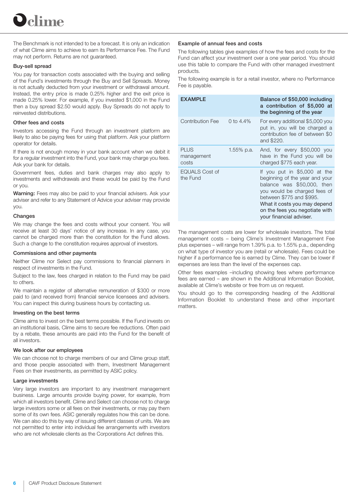The Benchmark is not intended to be a forecast. It is only an indication of what Clime aims to achieve to earn its Performance Fee. The Fund may not perform. Returns are not guaranteed.

#### Buy-sell spread

You pay for transaction costs associated with the buying and selling of the Fund's investments through the Buy and Sell Spreads. Money is not actually deducted from your investment or withdrawal amount. Instead, the entry price is made 0.25% higher and the exit price is made 0.25% lower. For example, if you invested \$1,000 in the Fund then a buy spread \$2.50 would apply. Buy Spreads do not apply to reinvested distributions.

#### Other fees and costs

Investors accessing the Fund through an investment platform are likely to also be paying fees for using that platform. Ask your platform operator for details.

If there is not enough money in your bank account when we debit it for a regular investment into the Fund, your bank may charge you fees. Ask your bank for details.

Government fees, duties and bank charges may also apply to investments and withdrawals and these would be paid by the Fund or you.

Warning: Fees may also be paid to your financial advisers. Ask your adviser and refer to any Statement of Advice your adviser may provide you.

#### Changes

We may change the fees and costs without your consent. You will receive at least 30 days' notice of any increase. In any case, you cannot be charged more than the constitution for the Fund allows. Such a change to the constitution requires approval of investors.

#### Commissions and other payments

Neither Clime nor Select pay commissions to financial planners in respect of investments in the Fund.

Subject to the law, fees charged in relation to the Fund may be paid to others.

We maintain a register of alternative remuneration of \$300 or more paid to (and received from) financial service licensees and advisers. You can inspect this during business hours by contacting us.

#### Investing on the best terms

Clime aims to invest on the best terms possible. If the Fund invests on an institutional basis, Clime aims to secure fee reductions. Often paid by a rebate, these amounts are paid into the Fund for the benefit of all investors.

#### We look after our employees

We can choose not to charge members of our and Clime group staff, and those people associated with them, Investment Management Fees on their investments, as permitted by ASIC policy.

#### Large investments

Very large investors are important to any investment management business. Large amounts provide buying power, for example, from which all investors benefit. Clime and Select can choose not to charge large investors some or all fees on their investments, or may pay them some of its own fees. ASIC generally regulates how this can be done. We can also do this by way of issuing different classes of units. We are not permitted to enter into individual fee arrangements with investors who are not wholesale clients as the Corporations Act defines this.

#### Example of annual fees and costs

The following tables give examples of how the fees and costs for the Fund can affect your investment over a one year period. You should use this table to compare the Fund with other managed investment products.

The following example is for a retail investor, where no Performance Fee is payable.

| EXAMPLE                            |              | Balance of \$50,000 including<br>a contribution of \$5,000 at<br>the beginning of the year                                                                                                                                                            |
|------------------------------------|--------------|-------------------------------------------------------------------------------------------------------------------------------------------------------------------------------------------------------------------------------------------------------|
| Contribution Fee                   | 0 to $4.4\%$ | For every additional \$5,000 you<br>put in, you will be charged a<br>contribution fee of between \$0<br>and \$220.                                                                                                                                    |
| <b>PLUS</b><br>management<br>costs | 1.55% p.a.   | And, for every \$50,000 you<br>have in the Fund you will be<br>charged \$775 each year.                                                                                                                                                               |
| <b>EQUALS Cost of</b><br>the Fund  |              | If you put in \$5,000 at the<br>beginning of the year and your<br>balance was \$50,000, then<br>you would be charged fees of<br>between \$775 and \$995.<br>What it costs you may depend<br>on the fees you negotiate with<br>your financial adviser. |

The management costs are lower for wholesale investors. The total management costs – being Clime's Investment Management Fee plus expenses – will range from 1.39% p.a. to 1.55% p.a., depending on what type of investor you are (retail or wholesale). Fees could be higher if a performance fee is earned by Clime. They can be lower if expenses are less than the level of the expenses cap.

Other fees examples –including showing fees where performance fees are earned – are shown in the Additional Information Booklet, available at Clime's website or free from us on request.

You should go to the corresponding heading of the Additional Information Booklet to understand these and other important matters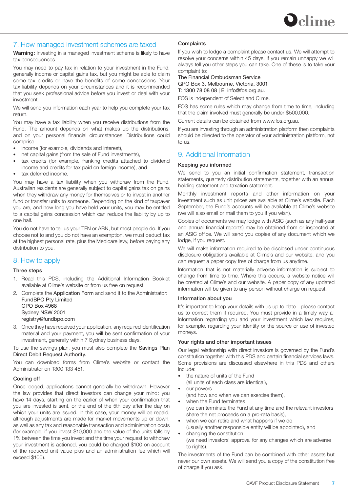

## 7. How managed investment schemes are taxed

Warning: Investing in a managed investment scheme is likely to have tax consequences.

You may need to pay tax in relation to your investment in the Fund, generally income or capital gains tax, but you might be able to claim some tax credits or have the benefits of some concessions. Your tax liability depends on your circumstances and it is recommended that you seek professional advice before you invest or deal with your investment.

We will send you information each year to help you complete your tax return.

You may have a tax liability when you receive distributions from the Fund. The amount depends on what makes up the distributions, and on your personal financial circumstances. Distributions could comprise:

- income (for example, dividends and interest),
- net capital gains (from the sale of Fund investments),
- tax credits (for example, franking credits attached to dividend income and credits for tax paid on foreign income), and
- tax deferred income.

You may have a tax liability when you withdraw from the Fund. Australian residents are generally subject to capital gains tax on gains when they withdraw any money for themselves or to invest in another fund or transfer units to someone. Depending on the kind of taxpayer you are, and how long you have held your units, you may be entitled to a capital gains concession which can reduce the liability by up to one half.

You do not have to tell us your TFN or ABN, but most people do. If you choose not to and you do not have an exemption, we must deduct tax at the highest personal rate, plus the Medicare levy, before paying any distribution to you.

# 8. How to apply

#### Three steps

- 1. Read this PDS, including the Additional Information Booklet available at Clime's website or from us free on request.
- 2. Complete the Application Form and send it to the Administrator: FundBPO Pty Limited GPO Box 4968 Sydney NSW 2001 registry@fundbpo.com
- 3. Once they have received your application, any required identification material and your payment, you will be sent confirmation of your investment, generally within 7 Sydney business days.

To use the savings plan, you must also complete the Savings Plan Direct Debit Request Authority.

You can download forms from Clime's website or contact the Administrator on 1300 133 451.

#### Cooling off

Once lodged, applications cannot generally be withdrawn. However the law provides that direct investors can change your mind: you have 14 days, starting on the earlier of when your confirmation that you are invested is sent, or the end of the 5th day after the day on which your units are issued. In this case, your money will be repaid, although adjustments are made for market movements up or down, as well as any tax and reasonable transaction and administration costs (for example, if you invest \$10,000 and the value of the units falls by 1% between the time you invest and the time your request to withdraw your investment is actioned, you could be charged \$100 on account of the reduced unit value plus and an administration fee which will exceed \$100).

#### **Complaints**

If you wish to lodge a complaint please contact us. We will attempt to resolve your concerns within 45 days. If you remain unhappy we will always tell you other steps you can take. One of these is to take your complaint to:

The Financial Ombudsman Service GPO Box 3, Melbourne, Victoria, 3001 T: 1300 78 08 08 | E: info@fos.org.au.

FOS is independent of Select and Clime.

FOS has some rules which may change from time to time, including that the claim involved must generally be under \$500,000.

Current details can be obtained from www.fos.org.au.

If you are investing through an administration platform then complaints should be directed to the operator of your administration platform, not to us.

# 9. Additional Information

#### Keeping you informed

We send to you an initial confirmation statement, transaction statements, quarterly distribution statements, together with an annual holding statement and taxation statement.

Monthly investment reports and other information on your investment such as unit prices are available at Clime's website. Each September, the Fund's accounts will be available at Clime's website (we will also email or mail them to you if you wish).

Copies of documents we may lodge with ASIC (such as any half-year and annual financial reports) may be obtained from or inspected at an ASIC office. We will send you copies of any document which we lodge, if you request.

We will make information required to be disclosed under continuous disclosure obligations available at Clime's and our website, and you can request a paper copy free of charge from us anytime.

Information that is not materially adverse information is subject to change from time to time. Where this occurs, a website notice will be created at Clime's and our website. A paper copy of any updated information will be given to any person without charge on request.

#### Information about you

It's important to keep your details with us up to date – please contact us to correct them if required. You must provide in a timely way all information regarding you and your investment which law requires, for example, regarding your identity or the source or use of invested moneys.

#### Your rights and other important issues

Our legal relationship with direct investors is governed by the Fund's constitution together with this PDS and certain financial services laws. Some provisions are discussed elsewhere in this PDS and others include:

- the nature of units of the Fund
- (all units of each class are identical),
- OUT DOWATS (and how and when we can exercise them),
- when the Fund terminates (we can terminate the Fund at any time and the relevant investors share the net proceeds on a pro-rata basis),
- when we can retire and what happens if we do
- (usually another responsible entity will be appointed), and changing the constitution
- (we need investors' approval for any changes which are adverse to rights).

The investments of the Fund can be combined with other assets but never our own assets. We will send you a copy of the constitution free of charge if you ask.